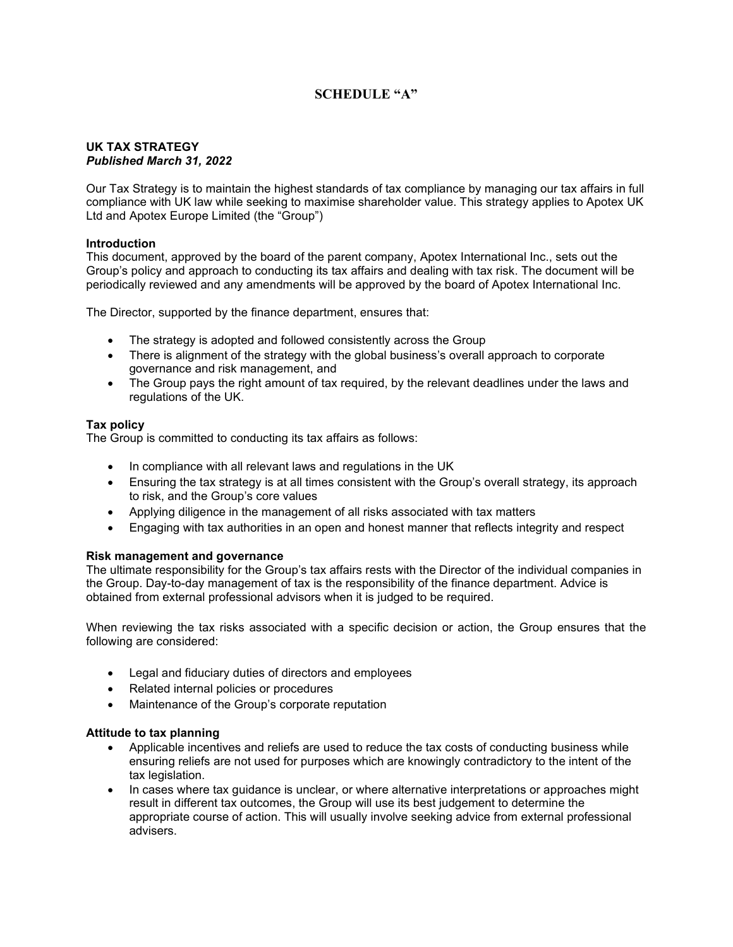# **SCHEDULE "A"**

#### **UK TAX STRATEGY**  *Published March 31, 2022*

Our Tax Strategy is to maintain the highest standards of tax compliance by managing our tax affairs in full compliance with UK law while seeking to maximise shareholder value. This strategy applies to Apotex UK Ltd and Apotex Europe Limited (the "Group")

## **Introduction**

This document, approved by the board of the parent company, Apotex International Inc., sets out the Group's policy and approach to conducting its tax affairs and dealing with tax risk. The document will be periodically reviewed and any amendments will be approved by the board of Apotex International Inc.

The Director, supported by the finance department, ensures that:

- The strategy is adopted and followed consistently across the Group
- There is alignment of the strategy with the global business's overall approach to corporate governance and risk management, and
- The Group pays the right amount of tax required, by the relevant deadlines under the laws and regulations of the UK.

## **Tax policy**

The Group is committed to conducting its tax affairs as follows:

- In compliance with all relevant laws and regulations in the UK
- Ensuring the tax strategy is at all times consistent with the Group's overall strategy, its approach to risk, and the Group's core values
- Applying diligence in the management of all risks associated with tax matters
- Engaging with tax authorities in an open and honest manner that reflects integrity and respect

#### **Risk management and governance**

The ultimate responsibility for the Group's tax affairs rests with the Director of the individual companies in the Group. Day-to-day management of tax is the responsibility of the finance department. Advice is obtained from external professional advisors when it is judged to be required.

When reviewing the tax risks associated with a specific decision or action, the Group ensures that the following are considered:

- Legal and fiduciary duties of directors and employees
- Related internal policies or procedures
- Maintenance of the Group's corporate reputation

#### **Attitude to tax planning**

- Applicable incentives and reliefs are used to reduce the tax costs of conducting business while ensuring reliefs are not used for purposes which are knowingly contradictory to the intent of the tax legislation.
- In cases where tax guidance is unclear, or where alternative interpretations or approaches might result in different tax outcomes, the Group will use its best judgement to determine the appropriate course of action. This will usually involve seeking advice from external professional advisers.